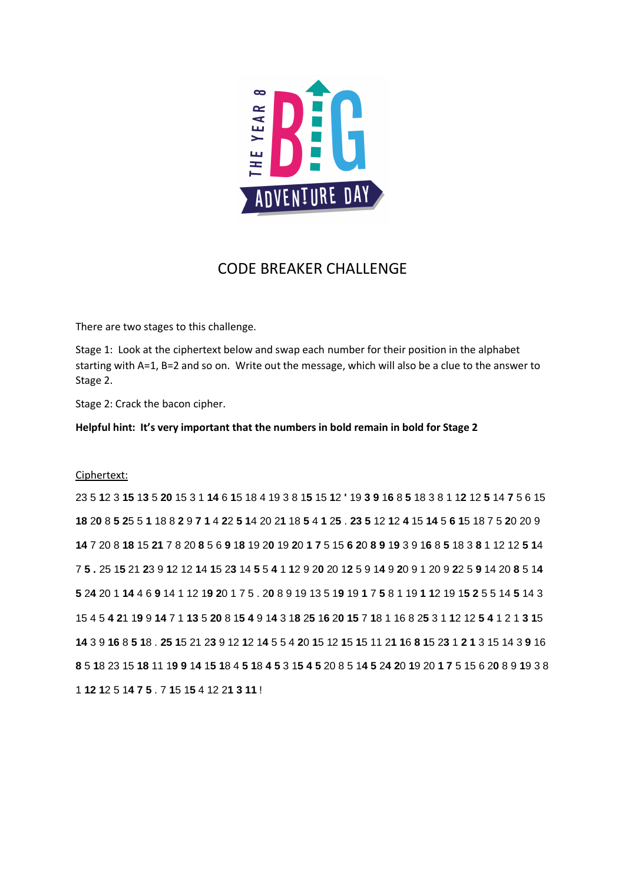

## CODE BREAKER CHALLENGE

There are two stages to this challenge.

Stage 1: Look at the ciphertext below and swap each number for their position in the alphabet starting with A=1, B=2 and so on. Write out the message, which will also be a clue to the answer to Stage 2.

Stage 2: Crack the bacon cipher.

**Helpful hint: It's very important that the numbers in bold remain in bold for Stage 2**

## Ciphertext:

23 5 **1**2 3 **15** 1**3** 5 **20** 15 3 1 **14** 6 **1**5 18 4 19 3 8 1**5** 15 **1**2 **'** 19 **3 9** 1**6** 8 **5** 18 3 8 1 1**2** 12 **5** 14 **7** 5 6 15 18 20 8 5 25 5 1 18 8 2 9 7 1 4 22 5 14 20 21 18 5 4 1 25 . 23 5 12 12 4 15 14 5 6 15 18 7 5 20 20 9 14 7 20 8 18 15 21 7 8 20 8 5 6 9 18 19 20 19 20 1 7 5 15 6 20 8 9 19 3 9 16 8 5 18 3 8 1 12 12 5 14 75.25 15 21 23 9 12 12 14 15 23 14 5 5 4 1 12 9 20 20 12 5 9 14 9 20 9 1 20 9 22 5 9 14 20 8 5 14 **5** 2**4** 20 1 **14** 4 6 **9** 14 1 12 1**9 2**0 1 7 5 . 2**0** 8 9 19 13 5 1**9** 19 **1** 7 **5** 8 1 19 **1 1**2 19 1**5 2** 5 5 14 **5** 14 3 15 4 5 4 21 19 9 14 7 1 13 5 20 8 15 4 9 14 3 18 25 16 20 15 7 18 1 16 8 25 3 1 12 12 5 4 1 2 1 3 15 14 3 9 16 8 5 18 25 15 21 23 9 12 12 14 5 5 4 20 15 12 15 15 11 21 16 8 15 23 1 2 1 3 15 14 3 9 16 8 5 18 23 15 18 11 19 9 14 15 18 4 5 18 4 5 3 15 4 5 20 8 5 14 5 24 20 19 20 1 7 5 15 6 20 8 9 19 3 8 1 **12 1**2 5 1**4 7 5** . 7 **1**5 1**5** 4 12 2**1 3 11** !